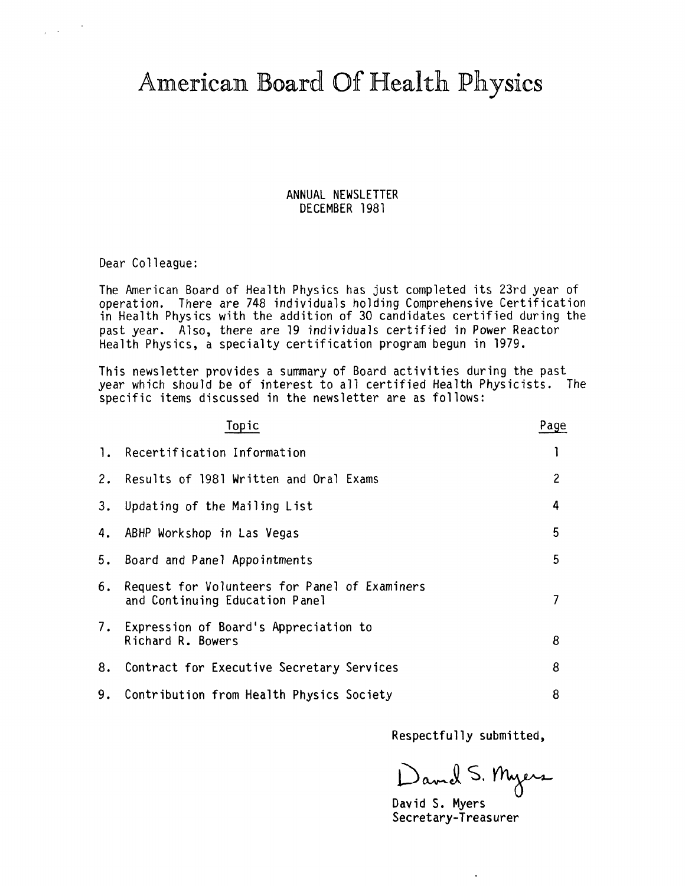American Board Of Health Physics

ANNUAL NEWSLETTER DECEMBER 1981

Dear Colleague:

 $\sim 10^{-1}$ 

The American Board of Health Physics has just completed its 23rd year of operation. There are 748 individuals holding Comprehensive Certification in Health Physics with the addition of 30 candidates certified during the past year. Also, there are 19 individuals certified in Power Reactor Health Physics, a specialty certification program begun in 1979.

This newsletter provides a summary of Board activities during the past year which should be of interest to all certified Health Physicists. The specific items discussed in the newsletter are as follows:

|    | Topic                                                                           | Page           |
|----|---------------------------------------------------------------------------------|----------------|
|    | 1. Recertification Information                                                  |                |
| 2. | Results of 1981 Written and Oral Exams                                          | $\overline{c}$ |
| 3. | Updating of the Mailing List                                                    | 4              |
| 4. | ABHP Workshop in Las Vegas                                                      | 5              |
| 5. | Board and Panel Appointments                                                    | 5              |
| 6. | Request for Volunteers for Panel of Examiners<br>and Continuing Education Panel | 7              |
|    | 7. Expression of Board's Appreciation to<br>Richard R. Bowers                   | 8              |
| 8. | Contract for Executive Secretary Services                                       | 8              |
| 9. | Contribution from Health Physics Society                                        | 8              |
|    |                                                                                 |                |

Respectfully submitted,

David S. Myers

Secretary-Treasurer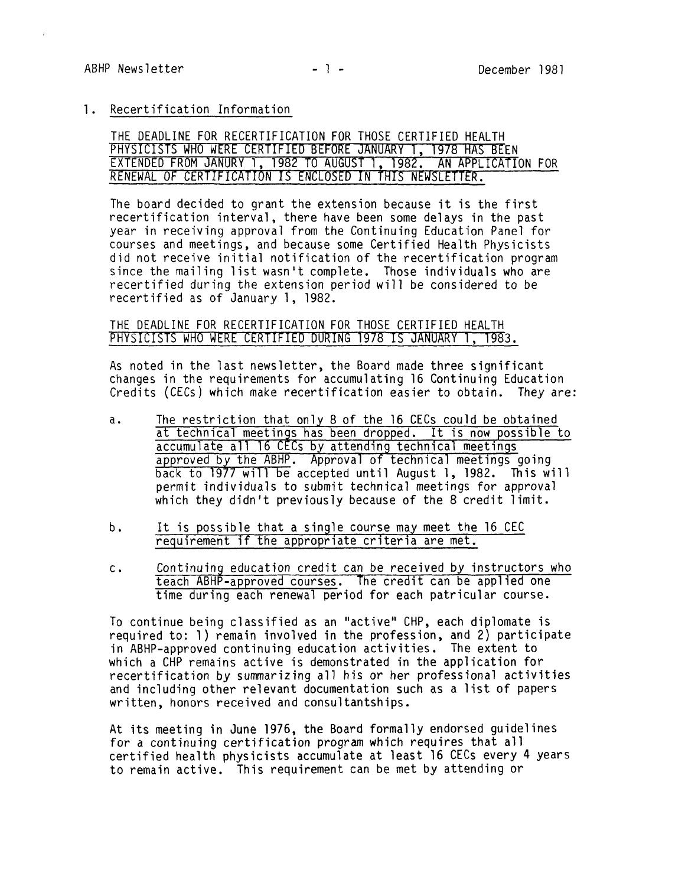$\ell$ 

## l. Recertification Information

## THE DEADLINE FOR RECERTIFICATION FOR THOSE CERTIFIED HEALTH PHYSICISTS WHO **WERE CERTIFIED BEFORE** JANUARY **1, 1978** HAS BEEN EXTENDED FROM JANURY l, 1982 TO AUGUST 1, 1982. AN APPLICATION FOR RENEWAL OF CERTIFICATION IS ENCLOSED IN THIS NEWSLETTER.

The board decided to grant the extension because it is the first recertification interval, there have been some delays in the past year in receiving approval from the Continuing Education Panel for courses and meetings, and because some Certified Health Physicists did not receive initial notification of the recertification program since the mailing list wasn't complete. Those individuals who are recertified during the extension period will be considered to be recertified as of January 1, 1982.

# THE DEADLINE FOR RECERTIFICATION FOR THOSE CERTIFIED HEALTH PHYSICISTS WHO WERE CERTIFIED DURING 1978 IS JANUARY 1, 1983.

As noted in the last newsletter, the Board made three significant changes in the requirements for accumulating 16 Continuing Education Credits (CECs) which make recertification easier to obtain. They are:

- a. The restriction that only 8 of the 16 CECs could be obtained at technical meetings has been dropped. It is now possible to accumulate all 16 CECs by attending technical meetings approved by the ABHP. Approval of technical meetings going<br>back to 1977 will be accepted until August 1, 1982. This will permit individuals to submit technical meetings for approval which they didn't previously because of the 8 credit limit.
- b. It is possible that a single course may meet the 16 CEC requirement if the appropriate criteria are met.
- c. Continuing education credit can be received by instructors who teach ABHP-approved courses. The credit can be applied one time during each renewal period for each patricular course.

To continue being classified as an "active" CHP, each diplomate is required to: 1) remain involved in the profession, and 2) participate in ABHP-approved continuing education activities. The extent to which a CHP remains active is demonstrated in the application for recertification by summarizing all his or her professional activities and including other relevant documentation such as a list of papers written, honors received and consultantships.

At its meeting in June 1976, the Board formally endorsed guidelines for a continuing certification program which requires that all certified health physicists accumulate at least 16 CECs every 4 years to remain active. This requirement can be met by attending or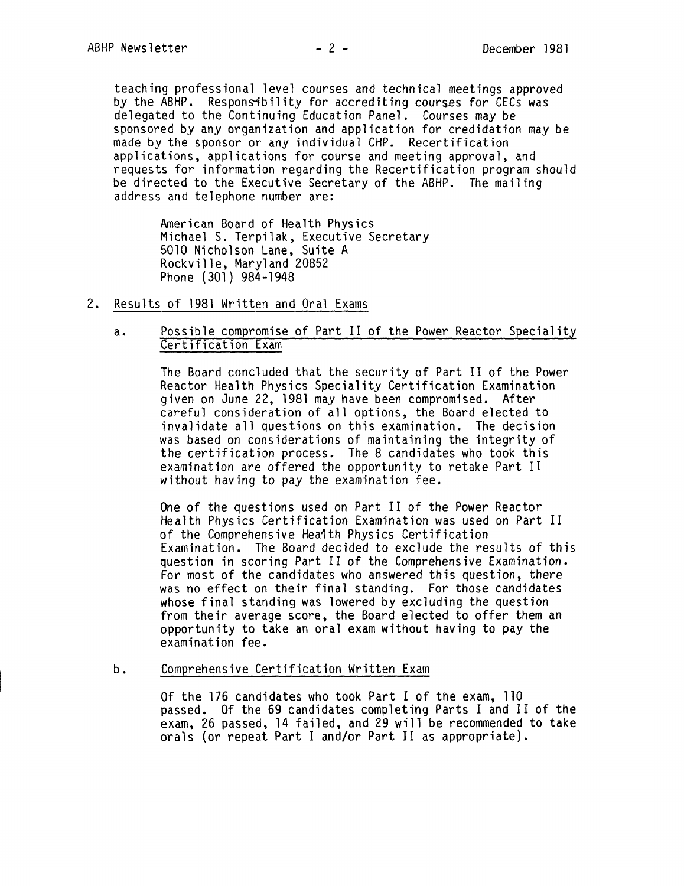teaching professional level courses and technical meetings approved by the ABHP. Respons-ibility for accrediting courses for CECs was delegated to the Continuing Education Panel. Courses may be sponsored by any organization and application for credidation may be made by the sponsor or any individual CHP. Recertification applications, applications for course and meeting approval, and requests for information regarding the Recertification program should be directed to the Executive Secretary of the ABHP. The mailing address and telephone number are:

> American Board of Health Physics Michael S. Terpilak, Executive Secretary 5010 Nicholson Lane, Suite A Rockville, Maryland 20852 Phone (301) 984-1948

- 2. Results of 1981 Written and Oral Exams
	- a. Possible compromise of Part II of the Power Reactor Speciality Certification Exam

The Board concluded that the security of Part II of the Power Reactor Health Physics Speciality Certification Examination given on June 22, 1981 may have been compromised. After careful consideration of all options, the Board elected to invalidate all questions on this examination. The decision was based on considerations of maintaining the integrity of the certification process. The 8 candidates who took this examination are offered the opportunity to retake Part II without having to pay the examination fee.

One of the questions used on Part II of the Power Reactor Health Physics Certification Examination was used on Part II of the Comprehensive Hea1th Physics Certification Examination. The Board decided to exclude the results of this question in scoring Part II of the Comprehensive Examination. For most of the candidates who answered this question, there was no effect on their final standing. For those candidates whose final standing was lowered by excluding the question from their average score, the Board elected to offer them an opportunity to take an oral exam without having to pay the examination fee.

b. Comprehensive Certification Written Exam

> Of the 176 candidates who took Part I of the exam, 110 passed. Of the 69 candidates completing Parts I and II of the exam, 26 passed, 14 failed, and 29 will be recommended to take orals (or repeat Part I and/or Part II as appropriate).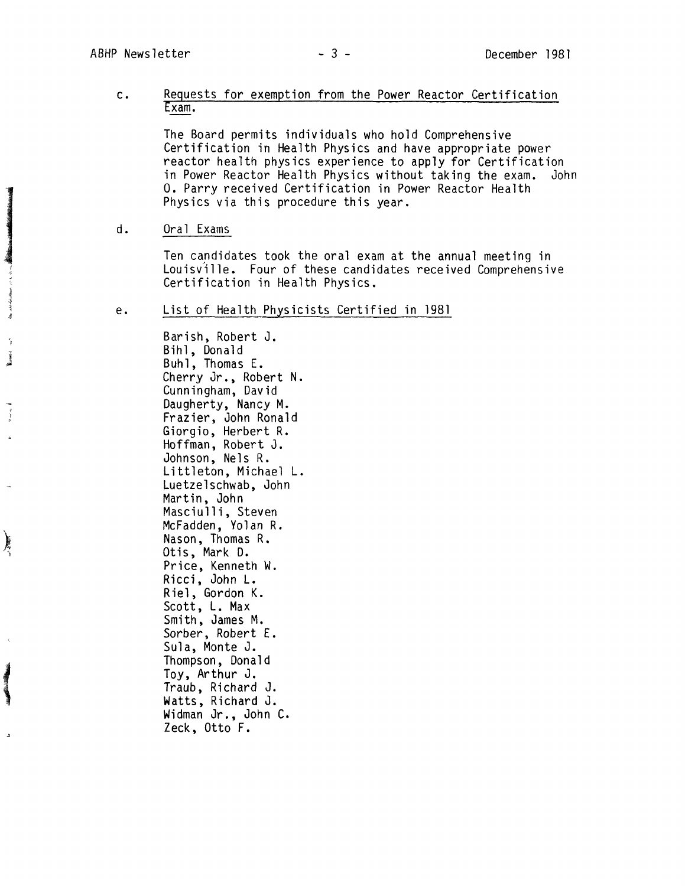## c. Requests for exemption from the Power Reactor Certification Exam.

The Board permits individuals who hold Comprehensive Certification in Health Physics and have appropriate power reactor health physics experience to apply for Certification in Power Reactor Health Physics without taking the exam. John O. Parry received Certification in Power Reactor Health Physics via this procedure this year.

## d. Oral Exams

Ten candidates took the oral exam at the annual meeting in Louisville. Four of these candidates received Comprehensive<br>Certification in Health Physics.

#### e. List of Health Physicists Certified in 1981

Barish, Robert J. Bihl, Donald Buhl, Thomas E. Cherry Jr., Robert N. Cunningham, David Daugherty, Nancy M. Frazier, John Ronald Giorgio, Herbert R. Hoffman, Robert J. Johnson, Nels R. Littleton, Michael L. Luetzelschwab, John Martin, John Masciulli, Steven McFadden, Yolan R. Nason, Thomas R. Otis, Mark D. Price, Kenneth W. Ricci, John L. Riel, Gordon K. Scott, L. Max Smith, James M. Sorber, Robert E. Sula, Monte J. Thompson, Donald Toy, Arthur J. Traub, Richard J. Watts, Richard J. Widman Jr., John C. Zeck, Otto F.

(

真空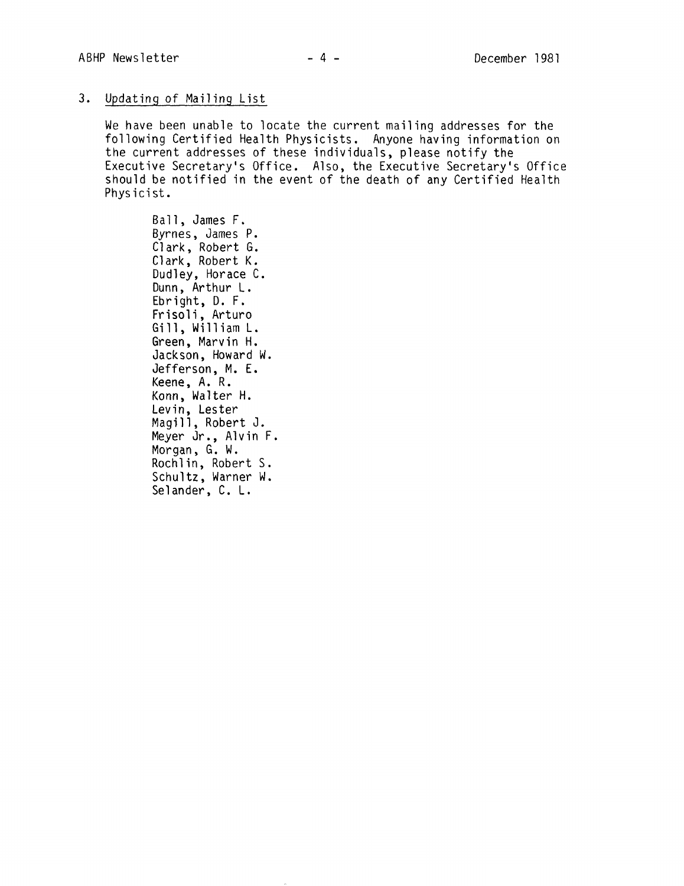# 3. Updating of Mailing List

We have been unable to locate the current mailing addresses for the following Certified Health Physicists. Anyone having information on the current addresses of these individuals, please notify the Executive Secretary's Office. Also, the Executive Secretary's Office should be notified in the event of the death of any Certified Health Physicist.

Ball, James F. Byrnes, James P. Clark, Robert G. Clark, Robert K. Dudley, Horace C. Dunn, Arthur L. Ebright, D. F. Frisoli, Arturo Gill, William L. Green, Marvin H. Jackson, Howard W. Jefferson, M. E. Keene, A. R. Konn, Walter H. Levin, Lester Magill, Robert J. Meyer Jr., Alvin F. Morgan, G. W. Rochlin, Robert S. Schultz, Warner W. Selander, C. L.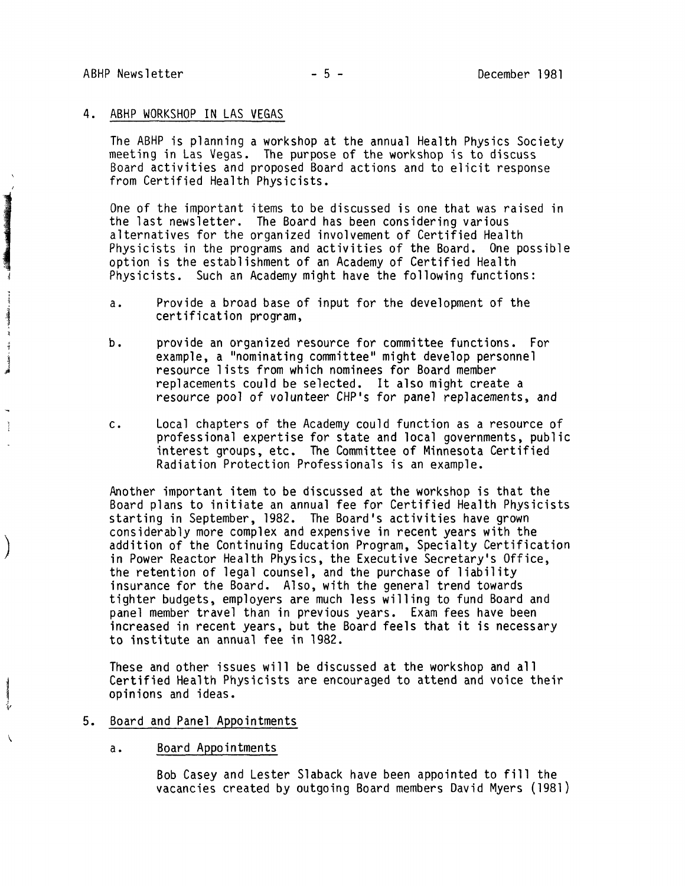1 ' at 1

**The Communication of the Communication** 

**James** 

 $\frac{1}{2}$ 

 $\Big)$ 

 $\lambda$ 

## 4. ABHP WORKSHOP IN LAS VEGAS

The ABHP is planning a workshop at the annual Health Physics Society meeting in Las Vegas. The purpose of the workshop is to discuss Board activities and proposed Board actions and to elicit response from Certified Health Physicists.

One of the important items to be discussed is one that was raised in the last newsletter. The Board has been considering various alternatives for the organized involvement of Certified Health Physicists in the programs and activities of the Board. One possible option is the establishment of an Academy of Certified Health Physicists. Such an Academy might have the following functions:

- a. Provide a broad base of input for the development of the certification program,
- b. provide an organized resource for committee functions. For example, a "nominating committee" might develop personnel resource lists from which nominees for Board member replacements could be selected. It also might create a resource pool of volunteer CHP's for panel replacements, and
- c. Local chapters of the Academy could function as a resource of professional expertise for state and local governments, public interest groups, etc. The Committee of Minnesota Certified Radiation Protection Professionals is an example.

Another important item to be discussed at the workshop is that the Board plans to initiate an annual fee for Certified Health Physicists starting in September, 1982. The Board's activities have grown considerably more complex and expensive in recent years with the addition of the Continuing Education Program, Specialty Certification in Power Reactor Health Physics, the Executive Secretary's Office, the retention of legal counsel, and the purchase of liability insurance for the Board. Also, with the general trend towards tighter budgets, employers are much less willing to fund Board and panel member travel than in previous years. Exam fees have been increased in recent years, but the Board feels that it is necessary to institute an annual fee in 1982.

These and other issues will be discussed at the workshop and all Certified Health Physicists are encouraged to attend and voice their opinions and ideas.

#### 5. Board and Panel Appointments

### a. Board Appointments

Bob Casey and Lester Slaback have been appointed to fill the vacancies created by outgoing Board members David Myers (1981)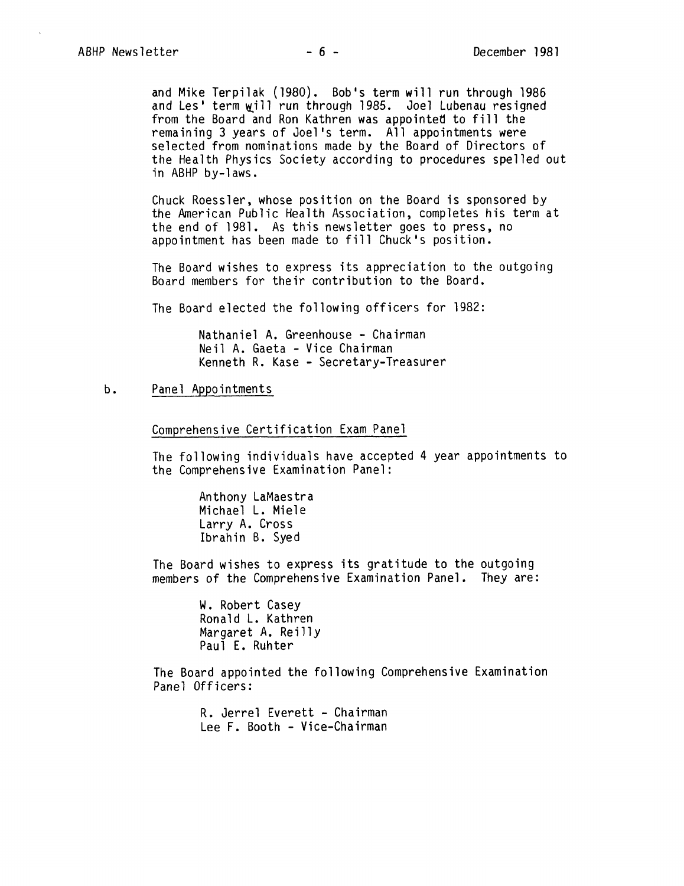and Mike Terpilak (1980). Bob's term will run through 1986 and Les' term will run through 1985. Joel Lubenau resigned from the Board and Ron Kathren was appointed to fill the remaining 3 years of Joel's term. All appointments were selected from nominations made by the Board of Directors of the Health Physics Society according to procedures spelled out in ABHP by-laws.

Chuck Roessler, whose position on the Board is sponsored by the American Public Health Association, completes his term at the end of 1981. As this newsletter goes to press, no appointment has been made to fill Chuck's position.

The Board wishes to express its appreciation to the outgoing Board members for their contribution to the Board.

The Board elected the following officers for 1982:

Nathaniel A. Greenhouse - Chairman Neil A. Gaeta - Vice Chairman Kenneth R. Kase - Secretary-Treasurer

#### b. Panel Appointments

Comprehensive Certification Exam Panel

The following individuals have accepted 4 year appointments to the Comprehensive Examination Panel:

> Anthony LaMaestra Michael L. Miele Larry A. Cross lbrahin B. Syed

The Board wishes to express its gratitude to the outgoing members of the Comprehensive Examination Panel. They are:

> W. Robert Casey Ronald L. Kathren Margaret A. Reilly Paul E. Ruhter

The Board appointed the following Comprehensive Examination Panel Officers:

> R. Jerrel Everett - Chairman Lee F. Booth - Vice-Chairman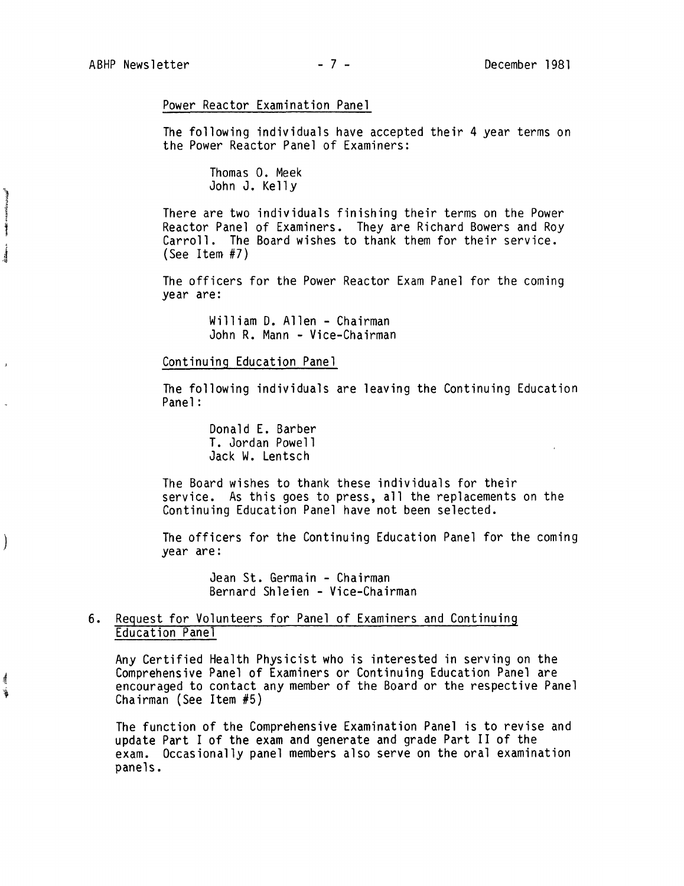**CONTRACTOR AND ARRANGEMENT COMMAND** 

**It There** 

 $\mathcal{C}$ 

Í

### Power Reactor Examination Panel

The following individuals have accepted their 4 year terms on the Power Reactor Panel of Examiners:

> Thomas 0. Meek John J. Kelly

There are two individuals finishing their terms on the Power Reactor Panel of Examiners. They are Richard Bowers and Roy Carroll. The Board wishes to thank them for their service. (See Item #7)

The officers for the Power Reactor Exam Panel for the coming year are:

> William D. Allen - Chairman John R. Mann - Vice-Chairman

## Continuing Education Panel

The following individuals are leaving the Continuing Education Panel:

> Donald E. Barber T. Jordan Powell Jack W. Lentsch

The Board wishes to thank these individuals for their service. As this goes to press, all the replacements on the Continuing Education Panel have not been selected.

The officers for the Continuing Education Panel for the coming year are:

> Jean St. Germain - Chairman Bernard Shleien - Vice-Chairman

# 6. Request for Volunteers for Panel of Examiners and Continuing Education Panel

Any Certified Health Physicist who is interested in serving on the Comprehensive Panel of Examiners or Continuing Education Panel are encouraged to contact any member of the Board or the respective Panel Chairman (See Item #5)

The function of the Comprehensive Examination Panel is to revise and update Part I of the exam and generate and grade Part II of the exam. Occasionally panel members also serve on the oral examination panels.